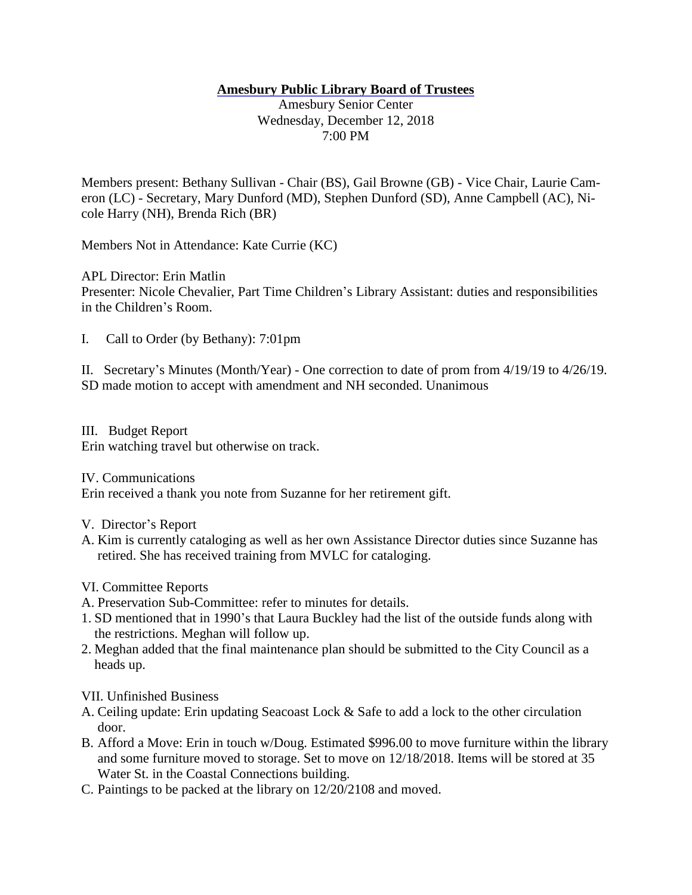## **Amesbury Public Library Board of Trustees**

Amesbury Senior Center Wednesday, December 12, 2018 7:00 PM

Members present: Bethany Sullivan - Chair (BS), Gail Browne (GB) - Vice Chair, Laurie Cameron (LC) - Secretary, Mary Dunford (MD), Stephen Dunford (SD), Anne Campbell (AC), Nicole Harry (NH), Brenda Rich (BR)

Members Not in Attendance: Kate Currie (KC)

APL Director: Erin Matlin

Presenter: Nicole Chevalier, Part Time Children's Library Assistant: duties and responsibilities in the Children's Room.

I. Call to Order (by Bethany): 7:01pm

II. Secretary's Minutes (Month/Year) - One correction to date of prom from 4/19/19 to 4/26/19. SD made motion to accept with amendment and NH seconded. Unanimous

III. Budget Report Erin watching travel but otherwise on track.

IV. Communications

Erin received a thank you note from Suzanne for her retirement gift.

- V. Director's Report
- A. Kim is currently cataloging as well as her own Assistance Director duties since Suzanne has retired. She has received training from MVLC for cataloging.

VI. Committee Reports

- A. Preservation Sub-Committee: refer to minutes for details.
- 1. SD mentioned that in 1990's that Laura Buckley had the list of the outside funds along with the restrictions. Meghan will follow up.
- 2. Meghan added that the final maintenance plan should be submitted to the City Council as a heads up.

VII. Unfinished Business

- A. Ceiling update: Erin updating Seacoast Lock & Safe to add a lock to the other circulation door.
- B. Afford a Move: Erin in touch w/Doug. Estimated \$996.00 to move furniture within the library and some furniture moved to storage. Set to move on 12/18/2018. Items will be stored at 35 Water St. in the Coastal Connections building.
- C. Paintings to be packed at the library on 12/20/2108 and moved.